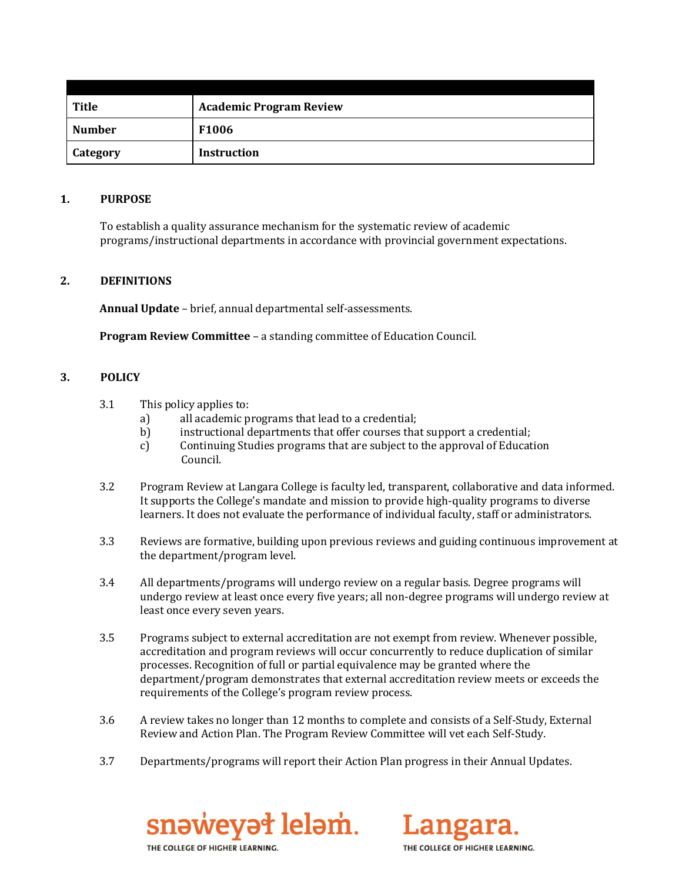| Title           | <b>Academic Program Review</b> |
|-----------------|--------------------------------|
| <b>Number</b>   | <b>F1006</b>                   |
| <b>Category</b> | <b>Instruction</b>             |

#### **1. PURPOSE**

To establish a quality assurance mechanism for the systematic review of academic programs/instructional departments in accordance with provincial government expectations.

### **2. DEFINITIONS**

**Annual Update** – brief, annual departmental self-assessments.

**Program Review Committee** – a standing committee of Education Council.

#### **3. POLICY**

- 3.1 This policy applies to:
	- a) all academic programs that lead to a credential;
	- b) instructional departments that offer courses that support a credential;
	- c) Continuing Studies programs that are subject to the approval of Education Council.
- 3.2 Program Review at Langara College is faculty led, transparent, collaborative and data informed. It supports the College's mandate and mission to provide high-quality programs to diverse learners. It does not evaluate the performance of individual faculty, staff or administrators.
- 3.3 Reviews are formative, building upon previous reviews and guiding continuous improvement at the department/program level.
- 3.4 All departments/programs will undergo review on a regular basis. Degree programs will undergo review at least once every five years; all non-degree programs will undergo review at least once every seven years.
- 3.5 Programs subject to external accreditation are not exempt from review. Whenever possible, accreditation and program reviews will occur concurrently to reduce duplication of similar processes. Recognition of full or partial equivalence may be granted where the department/program demonstrates that external accreditation review meets or exceeds the requirements of the College's program review process.
- 3.6 A review takes no longer than 12 months to complete and consists of a Self-Study, External Review and Action Plan. The Program Review Committee will vet each Self-Study.
- 3.7 Departments/programs will report their Action Plan progress in their Annual Updates.